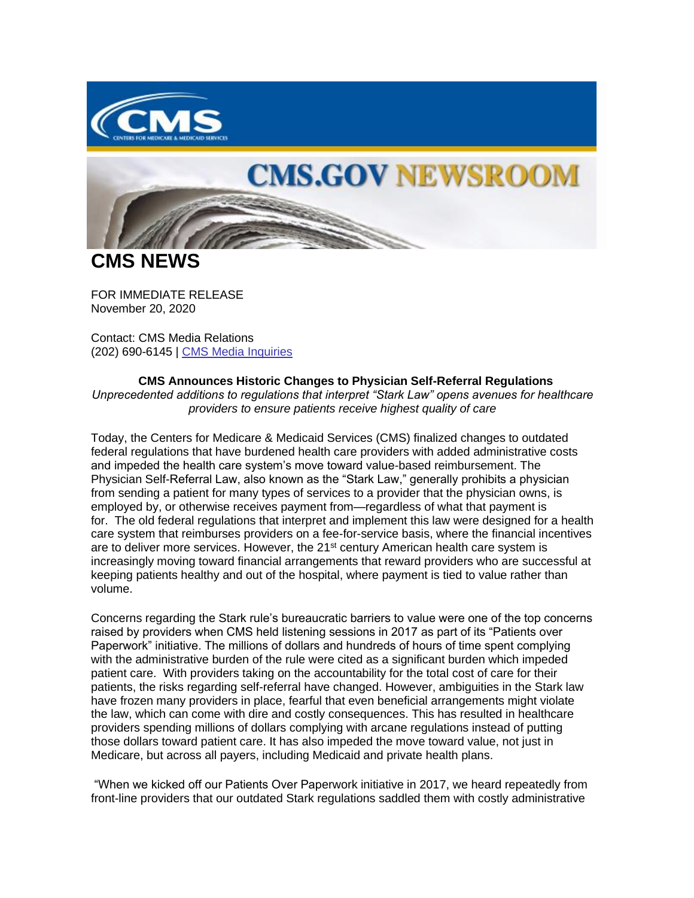

## **CMS.GOV NEWSROOM**

**CMS NEWS**

FOR IMMEDIATE RELEASE November 20, 2020

Contact: CMS Media Relations (202) 690-6145 | [CMS Media Inquiries](https://lnks.gd/l/eyJhbGciOiJIUzI1NiJ9.eyJidWxsZXRpbl9saW5rX2lkIjoxMDAsInVyaSI6ImJwMjpjbGljayIsImJ1bGxldGluX2lkIjoiMjAyMDExMjAuMzA4ODU1ODEiLCJ1cmwiOiJodHRwczovL3d3dy5jbXMuZ292L25ld3Nyb29tL21lZGlhLWlucXVpcmllcyJ9.2IdEogFpOFS1wN9VILVLE7wdqwv9lbkNbVAMMY19g9U/s/1086872215/br/90196406242-l)

## **CMS Announces Historic Changes to Physician Self-Referral Regulations**

*Unprecedented additions to regulations that interpret "Stark Law" opens avenues for healthcare providers to ensure patients receive highest quality of care*

Today, the Centers for Medicare & Medicaid Services (CMS) finalized changes to outdated federal regulations that have burdened health care providers with added administrative costs and impeded the health care system's move toward value-based reimbursement. The Physician Self-Referral Law, also known as the "Stark Law," generally prohibits a physician from sending a patient for many types of services to a provider that the physician owns, is employed by, or otherwise receives payment from—regardless of what that payment is for. The old federal regulations that interpret and implement this law were designed for a health care system that reimburses providers on a fee-for-service basis, where the financial incentives are to deliver more services. However, the  $21<sup>st</sup>$  century American health care system is increasingly moving toward financial arrangements that reward providers who are successful at keeping patients healthy and out of the hospital, where payment is tied to value rather than volume.

Concerns regarding the Stark rule's bureaucratic barriers to value were one of the top concerns raised by providers when CMS held listening sessions in 2017 as part of its "Patients over Paperwork" initiative. The millions of dollars and hundreds of hours of time spent complying with the administrative burden of the rule were cited as a significant burden which impeded patient care. With providers taking on the accountability for the total cost of care for their patients, the risks regarding self-referral have changed. However, ambiguities in the Stark law have frozen many providers in place, fearful that even beneficial arrangements might violate the law, which can come with dire and costly consequences. This has resulted in healthcare providers spending millions of dollars complying with arcane regulations instead of putting those dollars toward patient care. It has also impeded the move toward value, not just in Medicare, but across all payers, including Medicaid and private health plans.

"When we kicked off our Patients Over Paperwork initiative in 2017, we heard repeatedly from front-line providers that our outdated Stark regulations saddled them with costly administrative